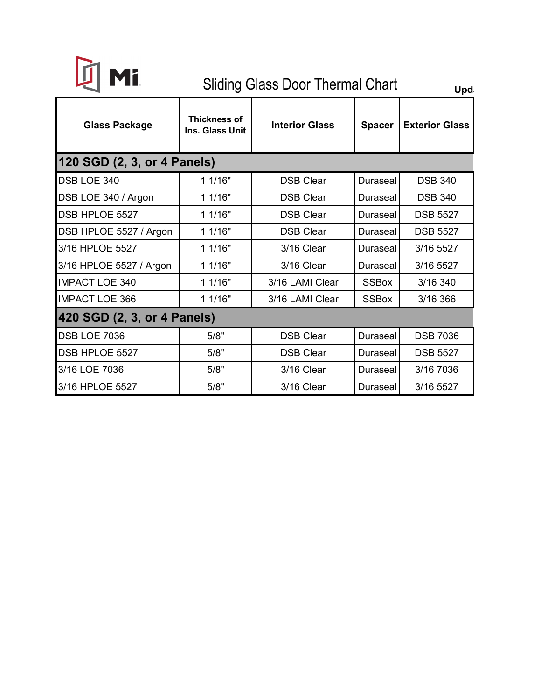

## Sliding Glass Door Thermal Chart **Updi**

| <b>Glass Package</b>        | Thickness of<br>Ins. Glass Unit | <b>Interior Glass</b>               | <b>Spacer</b>   | <b>Exterior Glass</b> |  |  |  |  |  |  |
|-----------------------------|---------------------------------|-------------------------------------|-----------------|-----------------------|--|--|--|--|--|--|
| 120 SGD (2, 3, or 4 Panels) |                                 |                                     |                 |                       |  |  |  |  |  |  |
| DSB LOE 340                 | 11/16"                          | <b>DSB Clear</b><br>Duraseal        |                 | <b>DSB 340</b>        |  |  |  |  |  |  |
| DSB LOE 340 / Argon         | 11/16"                          | <b>DSB Clear</b>                    | Duraseall       | <b>DSB 340</b>        |  |  |  |  |  |  |
| DSB HPLOE 5527              | 11/16"                          | <b>DSB Clear</b>                    | <b>Duraseal</b> | <b>DSB 5527</b>       |  |  |  |  |  |  |
| DSB HPLOE 5527 / Argon      | 11/16"                          | <b>DSB Clear</b>                    | <b>Duraseal</b> |                       |  |  |  |  |  |  |
| 3/16 HPLOE 5527             | 11/16"                          | 3/16 Clear                          | Duraseal        |                       |  |  |  |  |  |  |
| 3/16 HPLOE 5527 / Argon     | 1 1/16"                         | 3/16 Clear                          | <b>Duraseal</b> | 3/16 5527             |  |  |  |  |  |  |
| <b>IMPACT LOE 340</b>       | 11/16"                          | 3/16 LAMI Clear                     | <b>SSBox</b>    | 3/16 340              |  |  |  |  |  |  |
| <b>IMPACT LOE 366</b>       | 11/16"                          | 3/16 LAMI Clear                     | <b>SSBox</b>    | 3/16 366              |  |  |  |  |  |  |
| 420 SGD (2, 3, or 4 Panels) |                                 |                                     |                 |                       |  |  |  |  |  |  |
| <b>DSB LOE 7036</b>         | 5/8"                            | <b>DSB Clear</b><br><b>Duraseal</b> |                 | <b>DSB 7036</b>       |  |  |  |  |  |  |
| DSB HPLOE 5527              | 5/8"                            | <b>DSB Clear</b><br><b>Duraseal</b> |                 | <b>DSB 5527</b>       |  |  |  |  |  |  |
| 3/16 LOE 7036               | 5/8"                            | 3/16 Clear                          | Duraseal        | 3/16 7036             |  |  |  |  |  |  |
| 3/16 HPLOE 5527             | 5/8"                            | 3/16 Clear<br>Duraseal              |                 | 3/16 5527             |  |  |  |  |  |  |